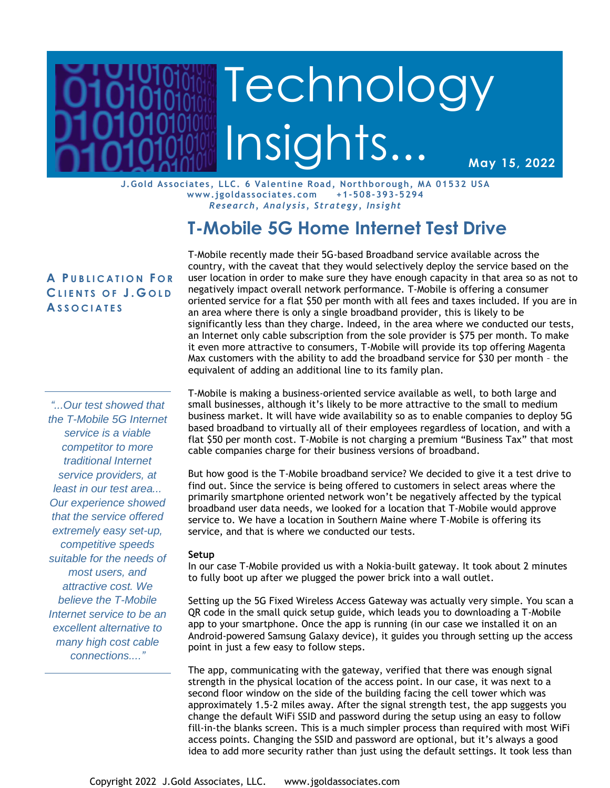# Page 1 Technology Insights… Insights… Insights… Insights… Insights… Insights… Insights… Insights… Insights… In **Prototology Institute Technology** Insights...

**May 15, 2022**

**J.Gold Associates , LLC. 6 Valentine Road, Northborough, MA 01532 USA www.jgoldassociates.com +1-508-393-5294** *Research, Analysis, Strategy, Insight*

## **T-Mobile 5G Home Internet Test Drive**

### **A P U B L I C A T I O N F O R C L I E N T S O F J . G O L D A S S O C I A T E S**

*"...Our test showed that the T-Mobile 5G Internet service is a viable competitor to more traditional Internet service providers, at least in our test area... Our experience showed that the service offered extremely easy set-up, competitive speeds suitable for the needs of most users, and attractive cost. We believe the T-Mobile Internet service to be an excellent alternative to many high cost cable connections...."*

T-Mobile recently made their 5G-based Broadband service available across the country, with the caveat that they would selectively deploy the service based on the user location in order to make sure they have enough capacity in that area so as not to negatively impact overall network performance. T-Mobile is offering a consumer oriented service for a flat \$50 per month with all fees and taxes included. If you are in an area where there is only a single broadband provider, this is likely to be significantly less than they charge. Indeed, in the area where we conducted our tests, an Internet only cable subscription from the sole provider is \$75 per month. To make it even more attractive to consumers, T-Mobile will provide its top offering Magenta Max customers with the ability to add the broadband service for \$30 per month – the equivalent of adding an additional line to its family plan.

T-Mobile is making a business-oriented service available as well, to both large and small businesses, although it's likely to be more attractive to the small to medium business market. It will have wide availability so as to enable companies to deploy 5G based broadband to virtually all of their employees regardless of location, and with a flat \$50 per month cost. T-Mobile is not charging a premium "Business Tax" that most cable companies charge for their business versions of broadband.

But how good is the T-Mobile broadband service? We decided to give it a test drive to find out. Since the service is being offered to customers in select areas where the primarily smartphone oriented network won't be negatively affected by the typical broadband user data needs, we looked for a location that T-Mobile would approve service to. We have a location in Southern Maine where T-Mobile is offering its service, and that is where we conducted our tests.

#### **Setup**

In our case T-Mobile provided us with a Nokia-built gateway. It took about 2 minutes to fully boot up after we plugged the power brick into a wall outlet.

Setting up the 5G Fixed Wireless Access Gateway was actually very simple. You scan a QR code in the small quick setup guide, which leads you to downloading a T-Mobile app to your smartphone. Once the app is running (in our case we installed it on an Android-powered Samsung Galaxy device), it guides you through setting up the access point in just a few easy to follow steps.

The app, communicating with the gateway, verified that there was enough signal strength in the physical location of the access point. In our case, it was next to a second floor window on the side of the building facing the cell tower which was approximately 1.5-2 miles away. After the signal strength test, the app suggests you change the default WiFi SSID and password during the setup using an easy to follow fill-in-the blanks screen. This is a much simpler process than required with most WiFi access points. Changing the SSID and password are optional, but it's always a good idea to add more security rather than just using the default settings. It took less than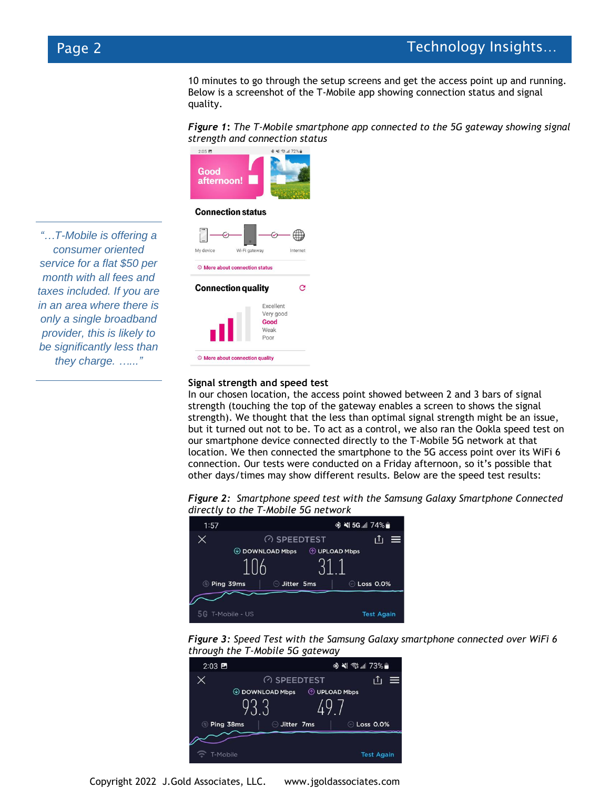10 minutes to go through the setup screens and get the access point up and running. Below is a screenshot of the T-Mobile app showing connection status and signal quality.

*Figure 1***:** *The T-Mobile smartphone app connected to the 5G gateway showing signal strength and connection status*



#### **Connection status**

My device Wi-Fi gateway © More about connection status Ġ **Connection quality** Excellent Very good Good Weak Poor © More about connection quality

**Signal strength and speed test**

In our chosen location, the access point showed between 2 and 3 bars of signal strength (touching the top of the gateway enables a screen to shows the signal strength). We thought that the less than optimal signal strength might be an issue, but it turned out not to be. To act as a control, we also ran the Ookla speed test on our smartphone device connected directly to the T-Mobile 5G network at that location. We then connected the smartphone to the 5G access point over its WiFi 6 connection. Our tests were conducted on a Friday afternoon, so it's possible that other days/times may show different results. Below are the speed test results:

*Figure 2: Smartphone speed test with the Samsung Galaxy Smartphone Connected directly to the T-Mobile 5G network*







Copyright 2022 J.Gold Associates, LLC. www.jgoldassociates.com

*"…T-Mobile is offering a consumer oriented service for a flat \$50 per month with all fees and taxes included. If you are in an area where there is only a single broadband provider, this is likely to be significantly less than they charge. …..."*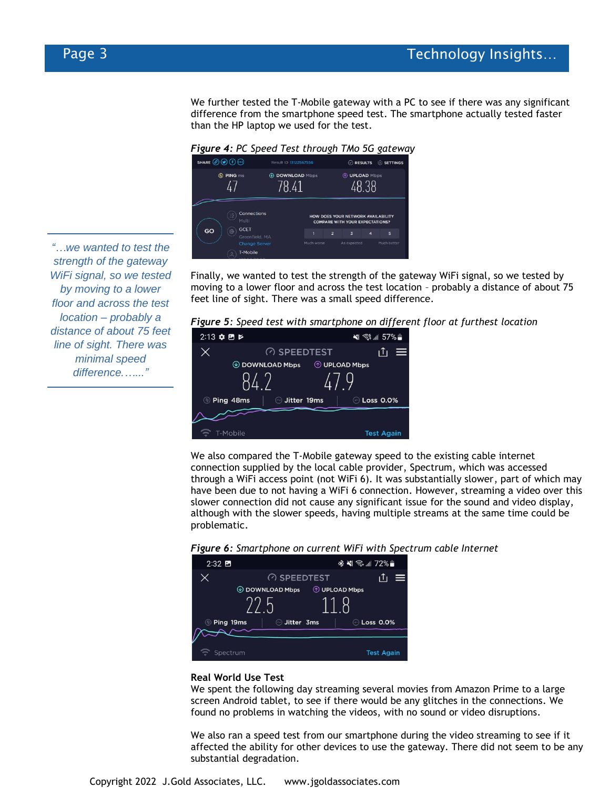We further tested the T-Mobile gateway with a PC to see if there was any significant difference from the smartphone speed test. The smartphone actually tested faster than the HP laptop we used for the test.

*Figure 4: PC Speed Test through TMo 5G gateway*



Finally, we wanted to test the strength of the gateway WiFi signal, so we tested by moving to a lower floor and across the test location – probably a distance of about 75 feet line of sight. There was a small speed difference.

*Figure 5: Speed test with smartphone on different floor at furthest location*



We also compared the T-Mobile gateway speed to the existing cable internet connection supplied by the local cable provider, Spectrum, which was accessed through a WiFi access point (not WiFi 6). It was substantially slower, part of which may have been due to not having a WiFi 6 connection. However, streaming a video over this slower connection did not cause any significant issue for the sound and video display, although with the slower speeds, having multiple streams at the same time could be problematic.





#### **Real World Use Test**

We spent the following day streaming several movies from Amazon Prime to a large screen Android tablet, to see if there would be any glitches in the connections. We found no problems in watching the videos, with no sound or video disruptions.

We also ran a speed test from our smartphone during the video streaming to see if it affected the ability for other devices to use the gateway. There did not seem to be any substantial degradation.

*"…we wanted to test the strength of the gateway WiFi signal, so we tested by moving to a lower floor and across the test location – probably a distance of about 75 feet line of sight. There was minimal speed difference.…..."*